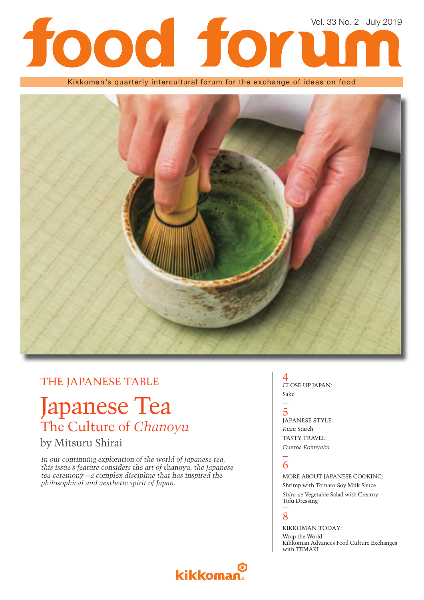# Vol. 33 No. 2 July 2019

Kikkoman's quarterly intercultural forum for the exchange of ideas on food



## THE JAPANESE TABLE

# Japanese Tea The Culture of *Chanoyu*

## by Mitsuru Shirai

*In our continuing exploration of the world of Japanese tea, this issue's feature considers the art of* chanoyu*, the Japanese tea ceremony—a complex discipline that has inspired the philosophical and aesthetic spirit of Japan.*

## 4 CLOSE-UP JAPAN: Sake

### 5 JAPANESE STYLE: *Kuzu* Starch TASTY TRAVEL: Gunma *Konnyaku*

#### — 6

—

MORE ABOUT JAPANESE COOKING: Shrimp with Tomato-Soy Milk Sauce *Shira-ae* Vegetable Salad with Creamy Tofu Dressing

#### — 8

KIKKOMAN TODAY: Wrap the World Kikkoman Advances Food Culture Exchanges with TEMAKI

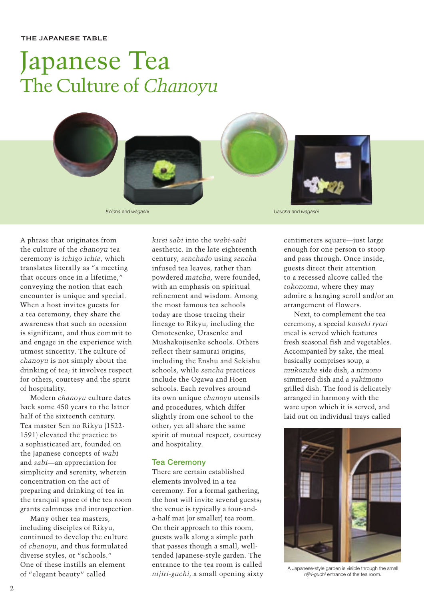# Japanese Tea The Culture of *Chanoyu*



A phrase that originates from the culture of the *chanoyu* tea ceremony is *ichigo ichie*, which translates literally as "a meeting that occurs once in a lifetime," conveying the notion that each encounter is unique and special. When a host invites guests for a tea ceremony, they share the awareness that such an occasion is significant, and thus commit to and engage in the experience with utmost sincerity. The culture of *chanoyu* is not simply about the drinking of tea; it involves respect for others, courtesy and the spirit of hospitality.

Modern *chanoyu* culture dates back some 450 years to the latter half of the sixteenth century. Tea master Sen no Rikyu (1522- 1591) elevated the practice to a sophisticated art, founded on the Japanese concepts of *wabi* and *sabi*—an appreciation for simplicity and serenity, wherein concentration on the act of preparing and drinking of tea in the tranquil space of the tea room grants calmness and introspection.

Many other tea masters, including disciples of Rikyu, continued to develop the culture of *chanoyu*, and thus formulated diverse styles, or "schools." One of these instills an element of "elegant beauty" called

*kirei sabi* into the *wabi*-*sabi* aesthetic. In the late eighteenth century, *senchado* using *sencha*  infused tea leaves, rather than powdered *matcha*, were founded, with an emphasis on spiritual refinement and wisdom. Among the most famous tea schools today are those tracing their lineage to Rikyu, including the Omotesenke, Urasenke and Mushakojisenke schools. Others reflect their samurai origins, including the Enshu and Sekishu schools, while *sencha* practices include the Ogawa and Hoen schools. Each revolves around its own unique *chanoyu* utensils and procedures, which differ slightly from one school to the other; yet all share the same spirit of mutual respect, courtesy and hospitality.

#### **Tea Ceremony**

There are certain established elements involved in a tea ceremony. For a formal gathering, the host will invite several guests; the venue is typically a four-anda-half mat (or smaller) tea room. On their approach to this room, guests walk along a simple path that passes though a small, welltended Japanese-style garden. The entrance to the tea room is called *nijiri-guchi*, a small opening sixty centimeters square—just large enough for one person to stoop and pass through. Once inside, guests direct their attention to a recessed alcove called the *tokonoma*, where they may admire a hanging scroll and/or an arrangement of flowers.

Next, to complement the tea ceremony, a special *kaiseki ryori*  meal is served which features fresh seasonal fish and vegetables. Accompanied by sake, the meal basically comprises soup, a *mukozuke* side dish, a *nimono* simmered dish and a *yakimono* grilled dish. The food is delicately arranged in harmony with the ware upon which it is served, and laid out on individual trays called



A Japanese-style garden is visible through the small *nijiri-guchi* entrance of the tea room.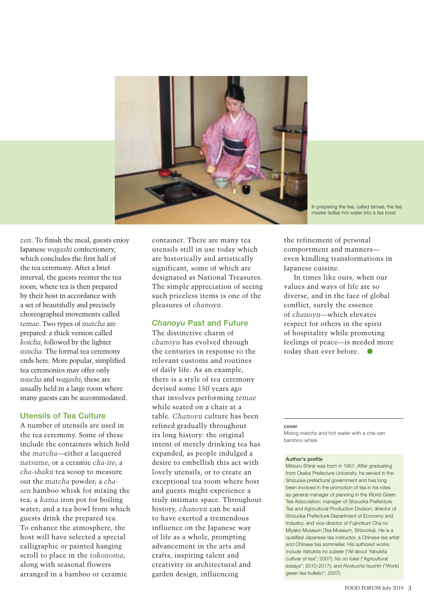

In preparing the tea, called *temae*, the tea master ladles hot water into a tea bowl.

*zen*. To finish the meal, guests enjoy Japanese *wagashi* confectionery, which concludes the first half of the tea ceremony. After a brief interval, the guests reenter the tea room, where tea is then prepared by their host in accordance with a set of beautifully and precisely choreographed movements called *temae*. Two types of *matcha* are prepared: a thick version called *koicha*, followed by the lighter *usucha.* The formal tea ceremony ends here. More popular, simplified tea ceremonies may offer only *usucha* and *wagashi*; these are usually held in a large room where many guests can be accommodated.

#### **Utensils of Tea Culture**

A number of utensils are used in the tea ceremony. Some of these include the containers which hold the *matcha*—either a lacquered *natsume*, or a ceramic *cha-ire*; a *cha-shaku* tea scoop to measure out the *matcha* powder; a *chasen* bamboo whisk for mixing the tea; a *kama* iron pot for boiling water; and a tea bowl from which guests drink the prepared tea. To enhance the atmosphere, the host will have selected a special calligraphic or painted hanging scroll to place in the *tokonoma*, along with seasonal flowers arranged in a bamboo or ceramic

container. There are many tea utensils still in use today which are historically and artistically significant, some of which are designated as National Treasures. The simple appreciation of seeing such priceless items is one of the pleasures of *chanoyu*.

#### *Chanoyu* **Past and Future**

The distinctive charm of *chanoyu* has evolved through the centuries in response to the relevant customs and routines of daily life. As an example, there is a style of tea ceremony devised some 150 years ago that involves performing *temae* while seated on a chair at a table. *Chanoyu* culture has been refined gradually throughout its long history: the original intent of merely drinking tea has expanded, as people indulged a desire to embellish this act with lovely utensils, or to create an exceptional tea room where host and guests might experience a truly intimate space. Throughout history, *chanoyu* can be said to have exerted a tremendous influence on the Japanese way of life as a whole, prompting advancement in the arts and crafts, inspiring talent and creativity in architectural and garden design, influencing

the refinement of personal comportment and manners even kindling transformations in Japanese cuisine.

In times like ours, when our values and ways of life are so diverse, and in the face of global conflict, surely the essence of *chanoyu*—which elevates respect for others in the spirit of hospitality while promoting feelings of peace—is needed more today than ever before.

#### **cover**

Mixing *matcha* and hot water with a *cha-sen* bamboo whisk

#### **Author's profile**

Mitsuru Shirai was born in 1957. After graduating from Osaka Prefecture University, he served in the Shizuoka prefectural government and has long been involved in the promotion of tea in his roles as general manager of planning in the World Green Tea Association; manager of Shizuoka Prefecture Tea and Agricultural Production Division; director of Shizuoka Prefecture Department of Economy and Industry; and vice-director of Fujinokuni Cha no Miyako Museum (Tea Museum, Shizuoka). He is a qualified Japanese tea instructor, a Chinese tea artist and Chinese tea sommelier. His authored works include *Yabukita no subete* ("All about Yabukita cultivar of tea"; 2007); *No no fukei* ("Agricultural essays"; 2010-2017); and *Ryokucha tsushin* ("World green tea bulletin"; 2007).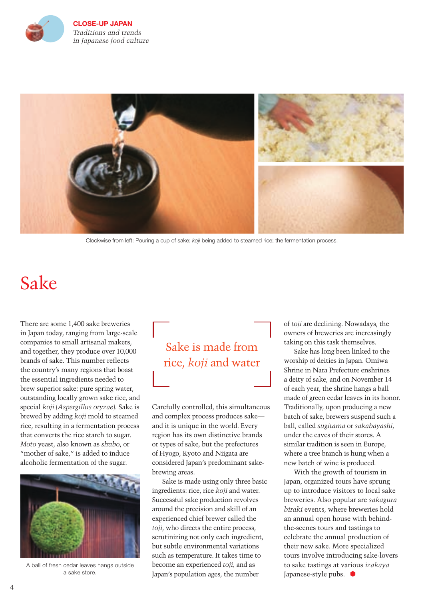

**CLOSE-UP JAPAN** *Traditions and trends in Japanese food culture* 



Clockwise from left: Pouring a cup of sake; *koji* being added to steamed rice; the fermentation process.

# Sake

There are some 1,400 sake breweries in Japan today, ranging from large-scale companies to small artisanal makers, and together, they produce over 10,000 brands of sake. This number reflects the country's many regions that boast the essential ingredients needed to brew superior sake: pure spring water, outstanding locally grown sake rice, and special *koji* (*Aspergillus oryzae*). Sake is brewed by adding *koji* mold to steamed rice, resulting in a fermentation process that converts the rice starch to sugar. *Moto* yeast, also known as *shubo*, or "mother of sake," is added to induce alcoholic fermentation of the sugar.



A ball of fresh cedar leaves hangs outside a sake store.

# Sake is made from rice, *koji* and water

Carefully controlled, this simultaneous and complex process produces sake and it is unique in the world. Every region has its own distinctive brands or types of sake, but the prefectures of Hyogo, Kyoto and Niigata are considered Japan's predominant sakebrewing areas.

Sake is made using only three basic ingredients: rice, rice *koji* and water. Successful sake production revolves around the precision and skill of an experienced chief brewer called the *toji*, who directs the entire process, scrutinizing not only each ingredient, but subtle environmental variations such as temperature. It takes time to become an experienced *toji,* and as Japan's population ages, the number

of *toji* are declining. Nowadays, the owners of breweries are increasingly taking on this task themselves.

Sake has long been linked to the worship of deities in Japan. Omiwa Shrine in Nara Prefecture enshrines a deity of sake, and on November 14 of each year, the shrine hangs a ball made of green cedar leaves in its honor. Traditionally, upon producing a new batch of sake, brewers suspend such a ball, called *sugitama* or *sakabayashi*, under the eaves of their stores. A similar tradition is seen in Europe, where a tree branch is hung when a new batch of wine is produced.

With the growth of tourism in Japan, organized tours have sprung up to introduce visitors to local sake breweries. Also popular are *sakagura biraki* events, where breweries hold an annual open house with behindthe-scenes tours and tastings to celebrate the annual production of their new sake. More specialized tours involve introducing sake-lovers to sake tastings at various *izakaya* Japanese-style pubs.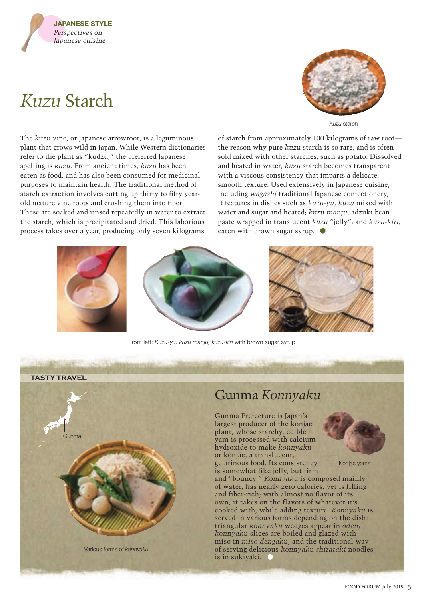

# *Kuzu* Starch



*Kuzu* starch

The *kuzu* vine, or Japanese arrowroot, is a leguminous plant that grows wild in Japan. While Western dictionaries refer to the plant as "kudzu," the preferred Japanese spelling is *kuzu*. From ancient times, *kuzu* has been eaten as food, and has also been consumed for medicinal purposes to maintain health. The traditional method of starch extraction involves cutting up thirty to fifty yearold mature vine roots and crushing them into fiber. These are soaked and rinsed repeatedly in water to extract the starch, which is precipitated and dried. This laborious process takes over a year, producing only seven kilograms

of starch from approximately 100 kilograms of raw root the reason why pure *kuzu* starch is so rare, and is often sold mixed with other starches, such as potato. Dissolved and heated in water, *kuzu* starch becomes transparent with a viscous consistency that imparts a delicate, smooth texture. Used extensively in Japanese cuisine, including *wagashi* traditional Japanese confectionery, it features in dishes such as *kuzu-yu*, *kuzu* mixed with water and sugar and heated; *kuzu manju,* adzuki bean paste wrapped in translucent *kuzu* "jelly"; and *kuzu-kiri,* eaten with brown sugar syrup.  $\bullet$ 



From left: *Kuzu-yu, kuzu manju, kuzu-kiri* with brown sugar syrup

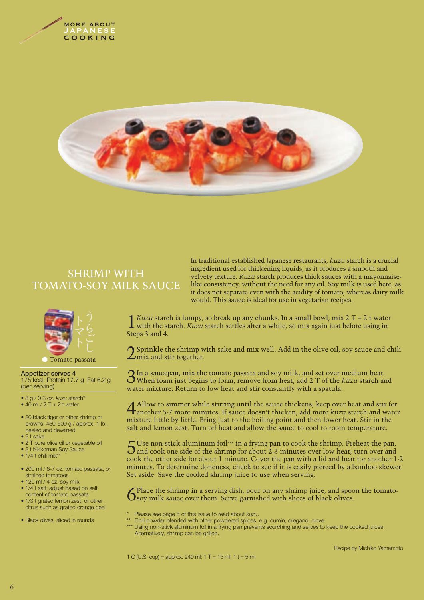



# SHRIMP WITH TOMATO-SOY MILK SAUCE



#### Tomato passata

**Appetizer serves 4** 175 kcal Protein 17.7 g Fat 6.2 g (per serving)

- 8 g / 0.3 oz. *kuzu* starch\*
- $\bullet$  40 ml / 2 T + 2 t water
- 20 black tiger or other shrimp or prawns, 450-500 g / approx. 1 lb., peeled and deveined
- 2 t sake
- 2 T pure olive oil or vegetable oil
- 2 t Kikkoman Soy Sauce
- $\bullet$  1/4 t chili mix\*
- 200 ml / 6-7 oz. tomato passata, or strained tomatoes
- 120 ml / 4 oz. soy milk
- 1/4 t salt; adjust based on salt content of tomato passata
- 1/3 t grated lemon zest, or other citrus such as grated orange peel
- Black olives, sliced in rounds

In traditional established Japanese restaurants, *kuzu* starch is a crucial ingredient used for thickening liquids, as it produces a smooth and velvety texture. *Kuzu* starch produces thick sauces with a mayonnaiselike consistency, without the need for any oil. Soy milk is used here, as it does not separate even with the acidity of tomato, whereas dairy milk would. This sauce is ideal for use in vegetarian recipes.

 $\frac{1}{2}$  *Kuzu* starch is lumpy, so break up any chunks. In a small bowl, mix 2 T + 2 t water with the starch. *Kuzu* starch settles after a while, so mix again just before using in Steps 3 and 4.

 $\bigcap$  Sprinkle the shrimp with sake and mix well. Add in the olive oil, soy sauce and chili  $\angle$ mix and stir together.

3In a saucepan, mix the tomato passata and soy milk, and set over medium heat. When foam just begins to form, remove from heat, add 2 T of the *kuzu* starch and water mixture. Return to low heat and stir constantly with a spatula.

4 Allow to simmer while stirring until the sauce thickens; keep over heat and stir for another 5-7 more minutes. If sauce doesn't thicken, add more *kuzu* starch and water mixture little by little. Bring just to the boiling point and then lower heat. Stir in the salt and lemon zest. Turn off heat and allow the sauce to cool to room temperature.

5 Use non-stick aluminum foil\*\*\* in a frying pan to cook the shrimp. Preheat the pan, and cook one side of the shrimp for about 2-3 minutes over low heat; turn over and cook the other side for about 1 minute. Cover the pan with a lid and heat for another 1-2 minutes. To determine doneness, check to see if it is easily pierced by a bamboo skewer. Set aside. Save the cooked shrimp juice to use when serving.

6 Place the shrimp in a serving dish, pour on any shrimp juice, and spoon the tomato-soy milk sauce over them. Serve garnished with slices of black olives.

- \* Please see page 5 of this issue to read about *kuzu*.
- \*\* Chili powder blended with other powdered spices, e.g. cumin, oregano, clove
	- Using non-stick aluminum foil in a frying pan prevents scorching and serves to keep the cooked juices. Alternatively, shrimp can be grilled.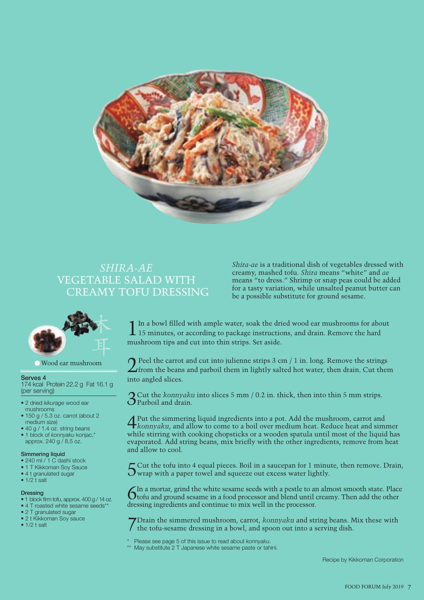

## *SHIRA-AE* VEGETABLE SALAD WITH CREAMY TOFU DRESSING

*Shira-ae* is a traditional dish of vegetables dressed with creamy, mashed tofu. *Shira* means "white" and *ae* means "to dress." Shrimp or snap peas could be added for a tasty variation, while unsalted peanut butter can be a possible substitute for ground sesame.



Wood ear mushroom

#### **Serves 4**

174 kcal Protein 22.2 g Fat 16.1 g (per serving)

- 2 dried *kikurage* wood ear mushrooms
- 150 g / 5.3 oz. carrot (about 2 medium size)
- 40 g / 1.4 oz. string beans
- 1 block of *konnyaku* konjac,\* approx. 240 g / 8.5 oz.

#### **Simmering liquid**

- 240 ml / 1 C dashi stock
- 1 T Kikkoman Soy Sauce
- 4 t granulated sugar
- $\bullet$  1/2 t salt

#### **Dressing**

- 1 block firm tofu, approx. 400 g / 14 oz.
- 4 T roasted white sesame seeds\*\* • 2 T granulated sugar
- 2 t Kikkoman Soy sauce
- $\bullet$  1/2 t salt

 $\prod$  In a bowl filled with ample water, soak the dried wood ear mushrooms for about 15 minutes, or according to package instructions, and drain. Remove the hard mushroom tips and cut into thin strips. Set aside.

 $2^{\text{Peel}}$  the carrot and cut into julienne strips 3 cm / 1 in. long. Remove the strings from the beans and parboil them in lightly salted hot water, then drain. Cut them into angled slices.

3Cut the *konnyaku* into slices 5 mm / 0.2 in. thick, then into thin 5 mm strips. Parboil and drain.

4Put the simmering liquid ingredients into a pot. Add the mushroom, carrot and *konnyaku*, and allow to come to a boil over medium heat. Reduce heat and simmer while stirring with cooking chopsticks or a wooden spatula until most of the liquid has evaporated. Add string beans, mix briefly with the other ingredients, remove from heat and allow to cool.

5Cut the tofu into 4 equal pieces. Boil in a saucepan for 1 minute, then remove. Drain, wrap with a paper towel and squeeze out excess water lightly.

In a mortar, grind the white sesame seeds with a pestle to an almost smooth state. Place tofu and ground sesame in a food processor and blend until creamy. Then add the other dressing ingredients and continue to mix well in the processor.

7Drain the simmered mushroom, carrot, *konnyaku* and string beans. Mix these with the tofu-sesame dressing in a bowl, and spoon out into a serving dish.

- \* Please see page 5 of this issue to read about *konnyaku*.
- May substitute 2 T Japanese white sesame paste or tahini.

Recipe by Kikkoman Corporation